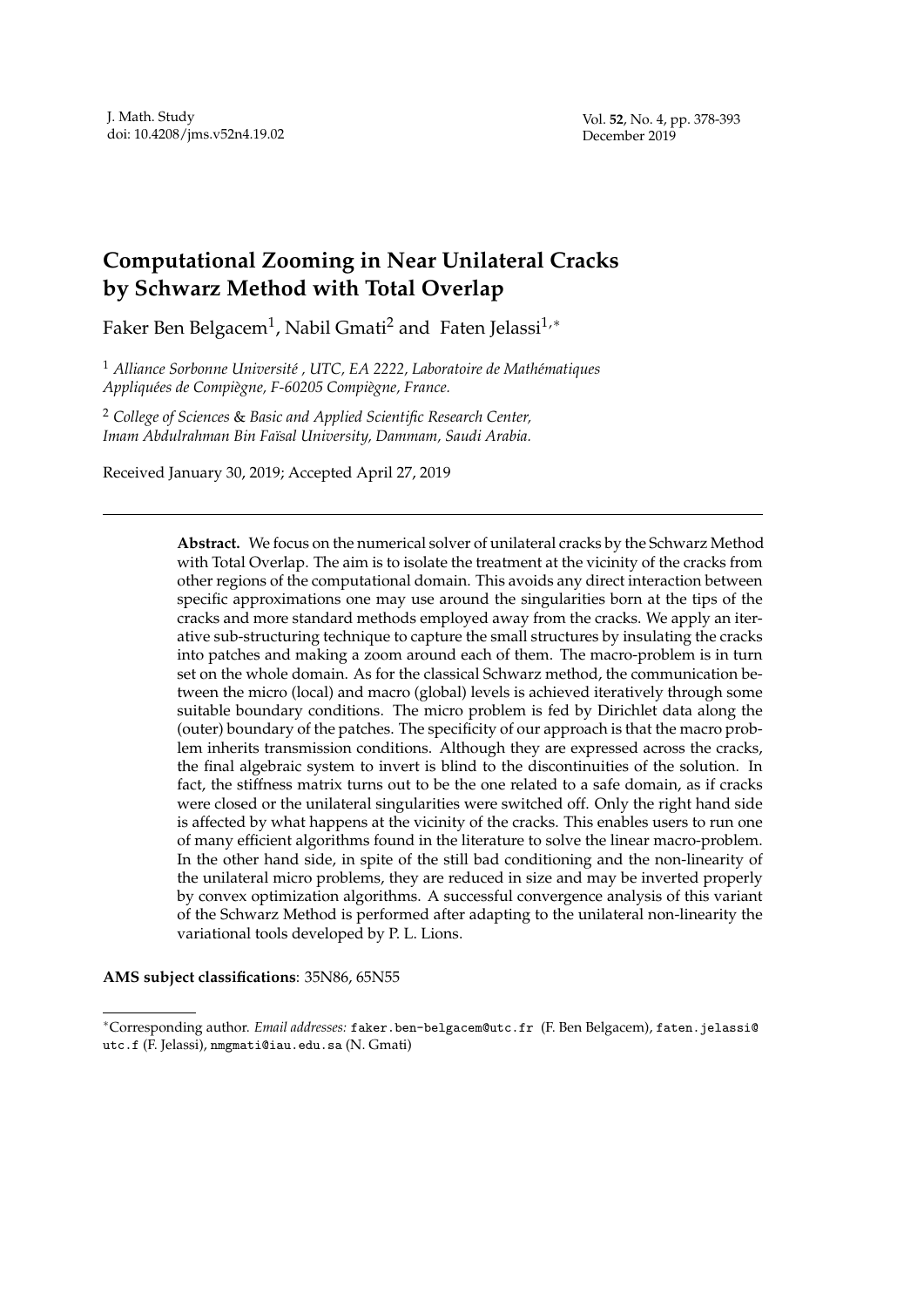# **Computational Zooming in Near Unilateral Cracks by Schwarz Method with Total Overlap**

Faker Ben Belgacem<sup>1</sup> , Nabil Gmati<sup>2</sup> and Faten Jelassi1,*<sup>∗</sup>*

<sup>1</sup> Alliance Sorbonne Université, UTC, EA 2222, Laboratoire de Mathématiques *Appliqu´ees de Compi`egne, F-60205 Compi`egne, France.*

<sup>2</sup> *College of Sciences* & *Basic and Applied Scientific Research Center, Imam Abdulrahman Bin Fa¨ısal University, Dammam, Saudi Arabia.*

Received January 30, 2019; Accepted April 27, 2019

**Abstract.** We focus on the numerical solver of unilateral cracks by the Schwarz Method with Total Overlap. The aim is to isolate the treatment at the vicinity of the cracks from other regions of the computational domain. This avoids any direct interaction between specific approximations one may use around the singularities born at the tips of the cracks and more standard methods employed away from the cracks. We apply an iterative sub-structuring technique to capture the small structures by insulating the cracks into patches and making a zoom around each of them. The macro-problem is in turn set on the whole domain. As for the classical Schwarz method, the communication between the micro (local) and macro (global) levels is achieved iteratively through some suitable boundary conditions. The micro problem is fed by Dirichlet data along the (outer) boundary of the patches. The specificity of our approach is that the macro problem inherits transmission conditions. Although they are expressed across the cracks, the final algebraic system to invert is blind to the discontinuities of the solution. In fact, the stiffness matrix turns out to be the one related to a safe domain, as if cracks were closed or the unilateral singularities were switched off. Only the right hand side is affected by what happens at the vicinity of the cracks. This enables users to run one of many efficient algorithms found in the literature to solve the linear macro-problem. In the other hand side, in spite of the still bad conditioning and the non-linearity of the unilateral micro problems, they are reduced in size and may be inverted properly by convex optimization algorithms. A successful convergence analysis of this variant of the Schwarz Method is performed after adapting to the unilateral non-linearity the variational tools developed by P. L. Lions.

**AMS subject classifications**: 35N86, 65N55

*<sup>∗</sup>*Corresponding author. *Email addresses:* faker.ben-belgacem@utc.fr (F. Ben Belgacem), faten.jelassi@ utc.f (F. Jelassi), nmgmati@iau.edu.sa (N. Gmati)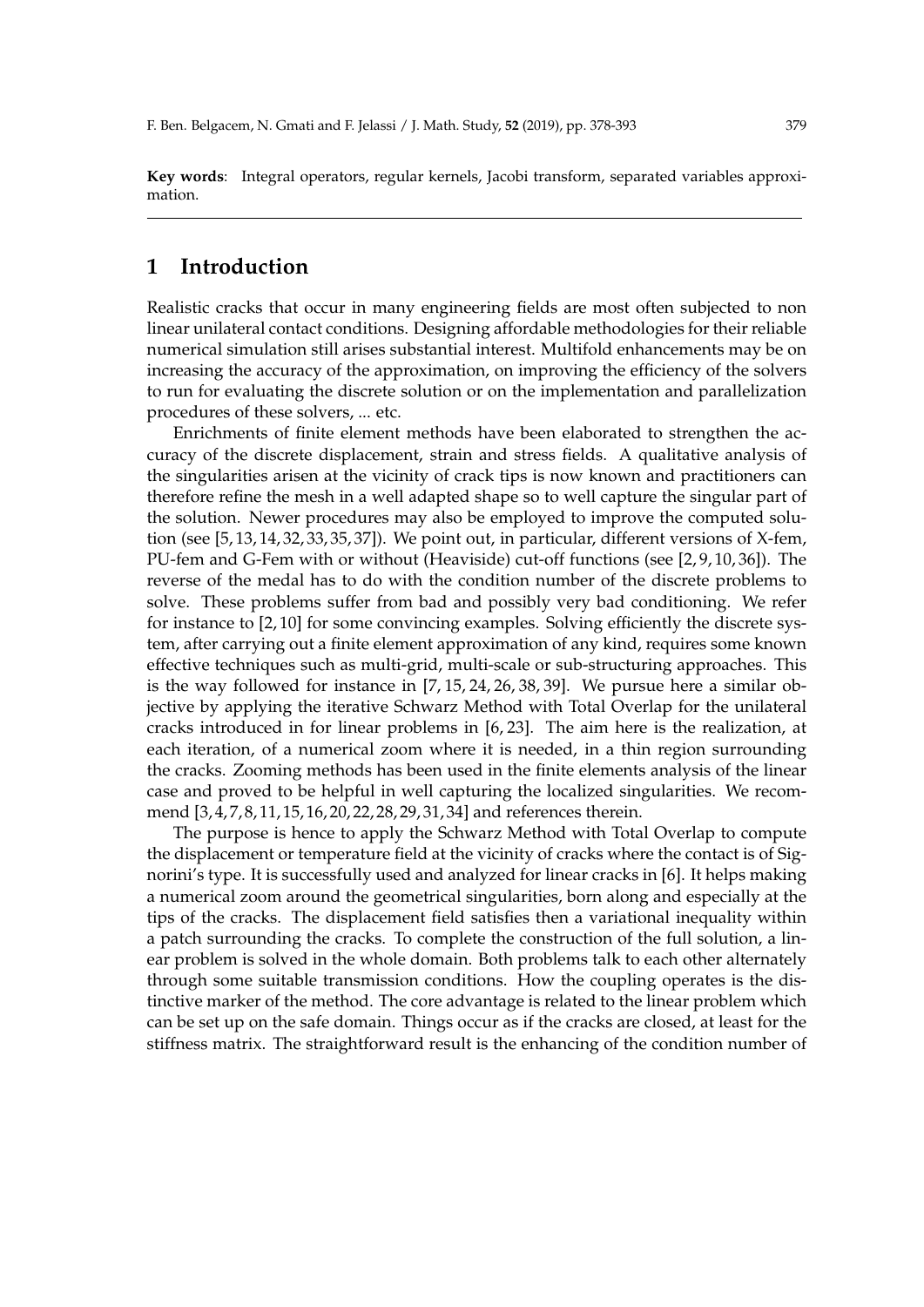**Key words**: Integral operators, regular kernels, Jacobi transform, separated variables approximation.

# **1 Introduction**

Realistic cracks that occur in many engineering fields are most often subjected to non linear unilateral contact conditions. Designing affordable methodologies for their reliable numerical simulation still arises substantial interest. Multifold enhancements may be on increasing the accuracy of the approximation, on improving the efficiency of the solvers to run for evaluating the discrete solution or on the implementation and parallelization procedures of these solvers, ... etc.

Enrichments of finite element methods have been elaborated to strengthen the accuracy of the discrete displacement, strain and stress fields. A qualitative analysis of the singularities arisen at the vicinity of crack tips is now known and practitioners can therefore refine the mesh in a well adapted shape so to well capture the singular part of the solution. Newer procedures may also be employed to improve the computed solution (see [5, 13, 14, 32, 33, 35, 37]). We point out, in particular, different versions of X-fem, PU-fem and G-Fem with or without (Heaviside) cut-off functions (see [2, 9, 10, 36]). The reverse of the medal has to do with the condition number of the discrete problems to solve. These problems suffer from bad and possibly very bad conditioning. We refer for instance to [2, 10] for some convincing examples. Solving efficiently the discrete system, after carrying out a finite element approximation of any kind, requires some known effective techniques such as multi-grid, multi-scale or sub-structuring approaches. This is the way followed for instance in [7, 15, 24, 26, 38, 39]. We pursue here a similar objective by applying the iterative Schwarz Method with Total Overlap for the unilateral cracks introduced in for linear problems in [6, 23]. The aim here is the realization, at each iteration, of a numerical zoom where it is needed, in a thin region surrounding the cracks. Zooming methods has been used in the finite elements analysis of the linear case and proved to be helpful in well capturing the localized singularities. We recommend [3, 4, 7, 8, 11, 15, 16, 20, 22, 28, 29, 31, 34] and references therein.

The purpose is hence to apply the Schwarz Method with Total Overlap to compute the displacement or temperature field at the vicinity of cracks where the contact is of Signorini's type. It is successfully used and analyzed for linear cracks in [6]. It helps making a numerical zoom around the geometrical singularities, born along and especially at the tips of the cracks. The displacement field satisfies then a variational inequality within a patch surrounding the cracks. To complete the construction of the full solution, a linear problem is solved in the whole domain. Both problems talk to each other alternately through some suitable transmission conditions. How the coupling operates is the distinctive marker of the method. The core advantage is related to the linear problem which can be set up on the safe domain. Things occur as if the cracks are closed, at least for the stiffness matrix. The straightforward result is the enhancing of the condition number of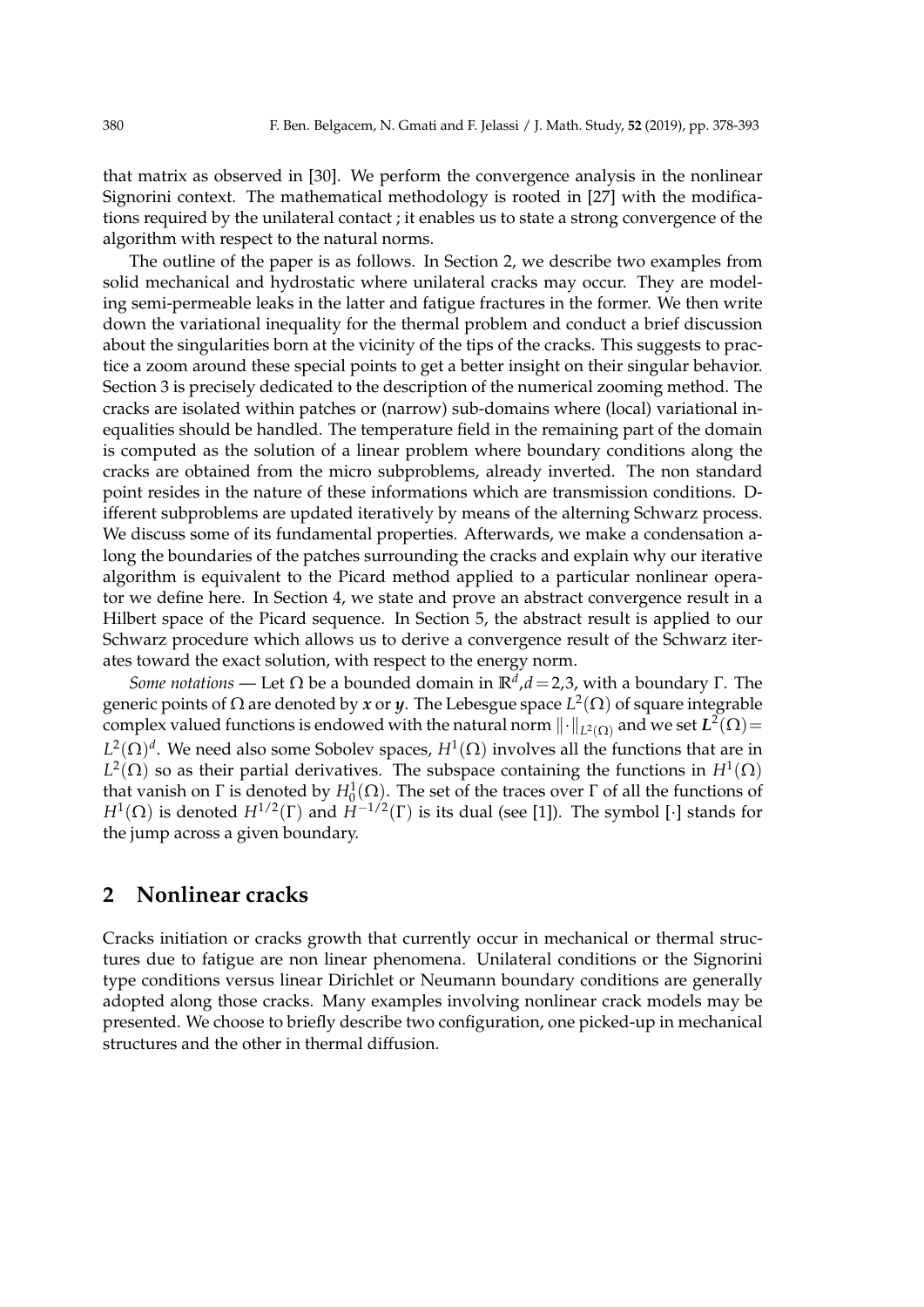that matrix as observed in [30]. We perform the convergence analysis in the nonlinear Signorini context. The mathematical methodology is rooted in [27] with the modifications required by the unilateral contact ; it enables us to state a strong convergence of the algorithm with respect to the natural norms.

The outline of the paper is as follows. In Section 2, we describe two examples from solid mechanical and hydrostatic where unilateral cracks may occur. They are modeling semi-permeable leaks in the latter and fatigue fractures in the former. We then write down the variational inequality for the thermal problem and conduct a brief discussion about the singularities born at the vicinity of the tips of the cracks. This suggests to practice a zoom around these special points to get a better insight on their singular behavior. Section 3 is precisely dedicated to the description of the numerical zooming method. The cracks are isolated within patches or (narrow) sub-domains where (local) variational inequalities should be handled. The temperature field in the remaining part of the domain is computed as the solution of a linear problem where boundary conditions along the cracks are obtained from the micro subproblems, already inverted. The non standard point resides in the nature of these informations which are transmission conditions. Different subproblems are updated iteratively by means of the alterning Schwarz process. We discuss some of its fundamental properties. Afterwards, we make a condensation along the boundaries of the patches surrounding the cracks and explain why our iterative algorithm is equivalent to the Picard method applied to a particular nonlinear operator we define here. In Section 4, we state and prove an abstract convergence result in a Hilbert space of the Picard sequence. In Section 5, the abstract result is applied to our Schwarz procedure which allows us to derive a convergence result of the Schwarz iterates toward the exact solution, with respect to the energy norm.

*Some notations* — Let Ω be a bounded domain in **R***<sup>d</sup>* ,*d*=2,3, with a boundary Γ. The generic points of Ω are denoted by *x* or *y*. The Lebesgue space *L* 2 (Ω) of square integrable complex valued functions is endowed with the natural norm  $\|\cdot\|_{L^2(\Omega)}$  and we set  $L^2(\Omega)$  =  $L^2(\Omega)^d$ . We need also some Sobolev spaces,  $H^1(\Omega)$  involves all the functions that are in  $L^2(\Omega)$  so as their partial derivatives. The subspace containing the functions in  $H^1(\Omega)$ that vanish on Γ is denoted by  $H_0^1(Ω)$ . The set of the traces over Γ of all the functions of *H*<sup>1</sup>(Ω) is denoted *H*<sup>1/2</sup>(Γ) and *H*<sup>−1/2</sup>(Γ) is its dual (see [1]). The symbol [*·*] stands for the jump across a given boundary.

# **2 Nonlinear cracks**

Cracks initiation or cracks growth that currently occur in mechanical or thermal structures due to fatigue are non linear phenomena. Unilateral conditions or the Signorini type conditions versus linear Dirichlet or Neumann boundary conditions are generally adopted along those cracks. Many examples involving nonlinear crack models may be presented. We choose to briefly describe two configuration, one picked-up in mechanical structures and the other in thermal diffusion.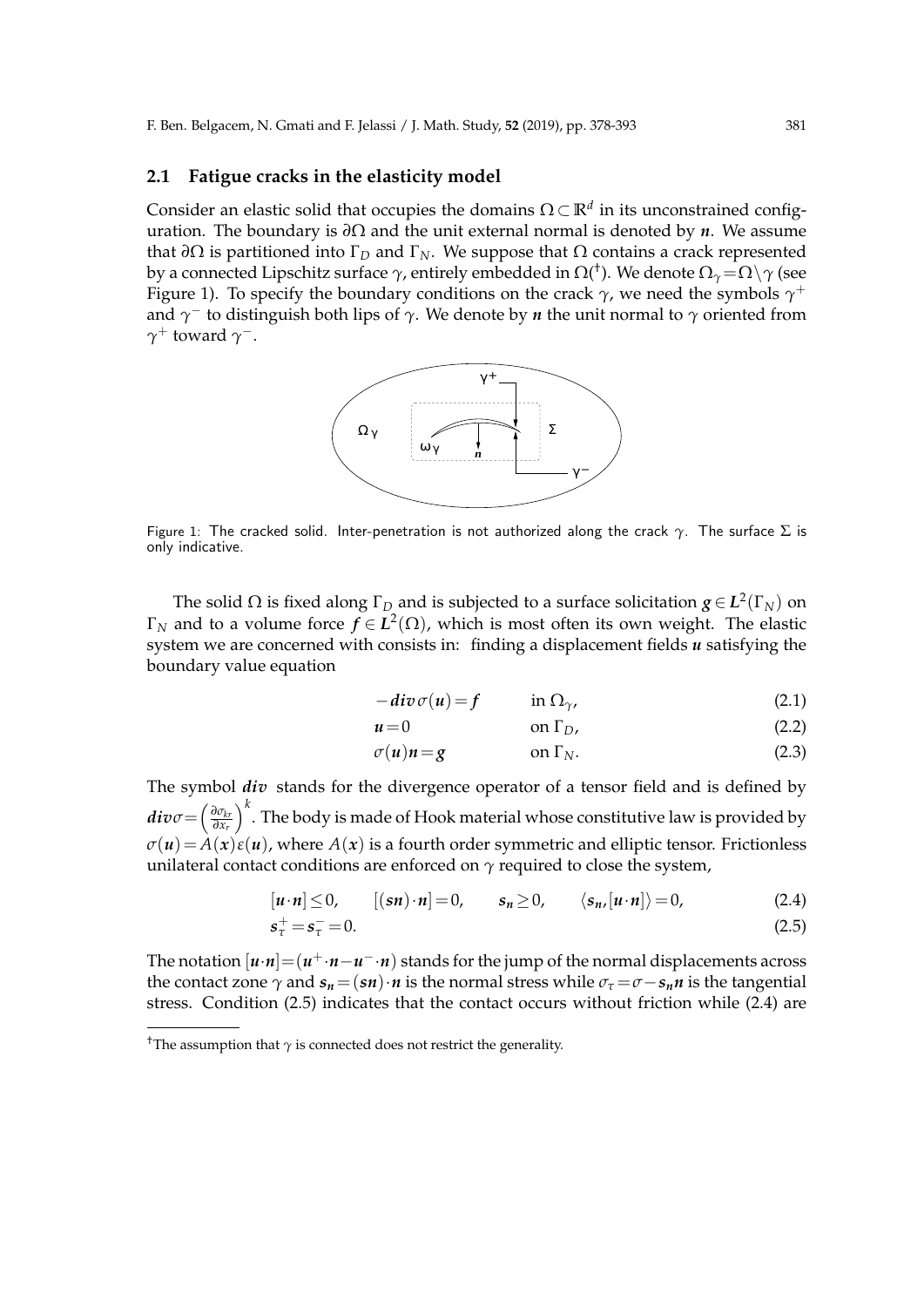### **2.1 Fatigue cracks in the elasticity model**

Consider an elastic solid that occupies the domains  $\Omega \subset \mathbb{R}^d$  in its unconstrained configuration. The boundary is *∂*Ω and the unit external normal is denoted by *n*. We assume that  $\partial\Omega$  is partitioned into  $\Gamma_D$  and  $\Gamma_N$ . We suppose that  $\Omega$  contains a crack represented by a connected Lipschitz surface *γ*, entirely embedded in Ω( † ). We denote Ω*γ*=Ω*\γ* (see Figure 1). To specify the boundary conditions on the crack *γ*, we need the symbols *γ* + and *γ −* to distinguish both lips of *γ*. We denote by *n* the unit normal to *γ* oriented from *γ* <sup>+</sup> toward *γ −*.



Figure 1: The cracked solid. Inter-penetration is not authorized along the crack *γ*. The surface Σ is only indicative.

The solid Ω is fixed along Γ<sub>D</sub> and is subjected to a surface solicitation *g* ∈  $L^2$ (Γ<sub>*N*</sub>)</sub> on  $Γ<sub>N</sub>$  and to a volume force  $f ∈ L<sup>2</sup>(Ω)$ , which is most often its own weight. The elastic system we are concerned with consists in: finding a displacement fields *u* satisfying the boundary value equation

$$
-div \sigma(u) = f \qquad \text{in } \Omega_{\gamma}, \tag{2.1}
$$

$$
u = 0 \qquad \text{on } \Gamma_D,
$$
 (2.2)

$$
\sigma(u)n = g \qquad \text{on } \Gamma_N. \tag{2.3}
$$

The symbol *div* stands for the divergence operator of a tensor field and is defined by  $div \sigma = \left(\frac{\partial \sigma_{kr}}{\partial x_r}\right)$ *∂x<sup>r</sup>* )*k* . The body is made of Hook material whose constitutive law is provided by  $\sigma(u) = A(x)\epsilon(u)$ , where  $A(x)$  is a fourth order symmetric and elliptic tensor. Frictionless unilateral contact conditions are enforced on  $\gamma$  required to close the system,

$$
[u \cdot n] \le 0, \qquad [(sn) \cdot n] = 0, \qquad s_n \ge 0, \qquad \langle s_n, [u \cdot n] \rangle = 0, \tag{2.4}
$$
  

$$
s_\tau^+ = s_\tau^- = 0. \tag{2.5}
$$

The notation  $[u \cdot n] = (u^+ \cdot n - u^- \cdot n)$  stands for the jump of the normal displacements across the contact zone  $\gamma$  and  $s_n = (sn) \cdot n$  is the normal stress while  $\sigma_{\tau} = \sigma - s_n n$  is the tangential stress. Condition (2.5) indicates that the contact occurs without friction while (2.4) are

<sup>&</sup>lt;sup>†</sup>The assumption that  $\gamma$  is connected does not restrict the generality.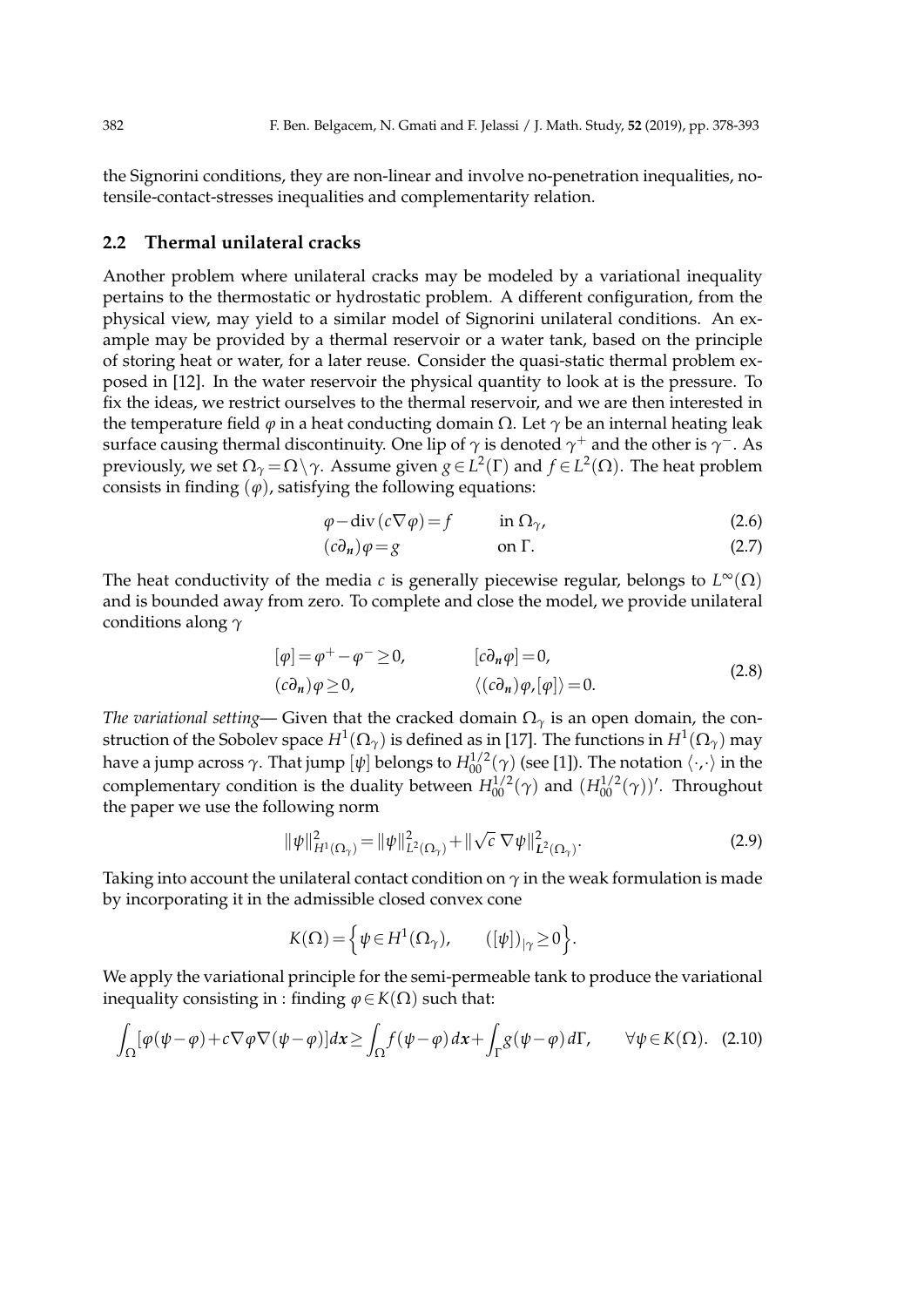the Signorini conditions, they are non-linear and involve no-penetration inequalities, notensile-contact-stresses inequalities and complementarity relation.

#### **2.2 Thermal unilateral cracks**

Another problem where unilateral cracks may be modeled by a variational inequality pertains to the thermostatic or hydrostatic problem. A different configuration, from the physical view, may yield to a similar model of Signorini unilateral conditions. An example may be provided by a thermal reservoir or a water tank, based on the principle of storing heat or water, for a later reuse. Consider the quasi-static thermal problem exposed in [12]. In the water reservoir the physical quantity to look at is the pressure. To fix the ideas, we restrict ourselves to the thermal reservoir, and we are then interested in the temperature field  $\varphi$  in a heat conducting domain  $\Omega$ . Let  $\gamma$  be an internal heating leak surface causing thermal discontinuity. One lip of *γ* is denoted *γ* <sup>+</sup> and the other is *γ −*. As  $\mathsf{previously}$ , we set  $\Omega$ <sub>γ</sub> =  $\Omega$  *∖*γ. Assume given *g* ∈ *L*<sup>2</sup>(Γ) and *f* ∈ *L*<sup>2</sup>(Ω). The heat problem consists in finding  $(\varphi)$ , satisfying the following equations:

$$
\varphi - \operatorname{div} (c \nabla \varphi) = f \qquad \text{in } \Omega_{\gamma}, \tag{2.6}
$$

$$
(c\partial_n)\varphi = g \qquad \text{on } \Gamma. \tag{2.7}
$$

The heat conductivity of the media *c* is generally piecewise regular, belongs to *L* <sup>∞</sup>(Ω) and is bounded away from zero. To complete and close the model, we provide unilateral conditions along *γ*

$$
[\varphi] = \varphi^+ - \varphi^- \ge 0, \qquad [\bar{c}\partial_n \varphi] = 0, (c\partial_n)\varphi \ge 0, \qquad \langle (c\partial_n)\varphi, [\varphi] \rangle = 0.
$$
 (2.8)

*The variational setting*— Given that the cracked domain  $\Omega_{\gamma}$  is an open domain, the construction of the Sobolev space  $H^1(\Omega_\gamma)$  is defined as in [17]. The functions in  $H^1(\Omega_\gamma)$  may have a jump across  $\gamma$ . That jump  $[\psi]$  belongs to  $H_{00}^{1/2}(\gamma)$  (see [1]). The notation  $\langle \cdot, \cdot \rangle$  in the complementary condition is the duality between  $H_{00}^{1/2}(\gamma)$  and  $(H_{00}^{1/2}(\gamma))'$ . Throughout the paper we use the following norm

$$
\|\psi\|_{H^1(\Omega_\gamma)}^2 = \|\psi\|_{L^2(\Omega_\gamma)}^2 + \|\sqrt{c}\,\nabla\psi\|_{L^2(\Omega_\gamma)}^2.
$$
\n(2.9)

Taking into account the unilateral contact condition on  $\gamma$  in the weak formulation is made by incorporating it in the admissible closed convex cone

$$
K(\Omega) = \Big\{ \psi \in H^1(\Omega_\gamma), \qquad ([\psi])_{|\gamma} \ge 0 \Big\}.
$$

We apply the variational principle for the semi-permeable tank to produce the variational inequality consisting in : finding  $\varphi \in K(\Omega)$  such that:

$$
\int_{\Omega} [\varphi(\psi - \varphi) + c \nabla \varphi \nabla (\psi - \varphi)] dx \ge \int_{\Omega} f(\psi - \varphi) dx + \int_{\Gamma} g(\psi - \varphi) d\Gamma, \qquad \forall \psi \in K(\Omega). \tag{2.10}
$$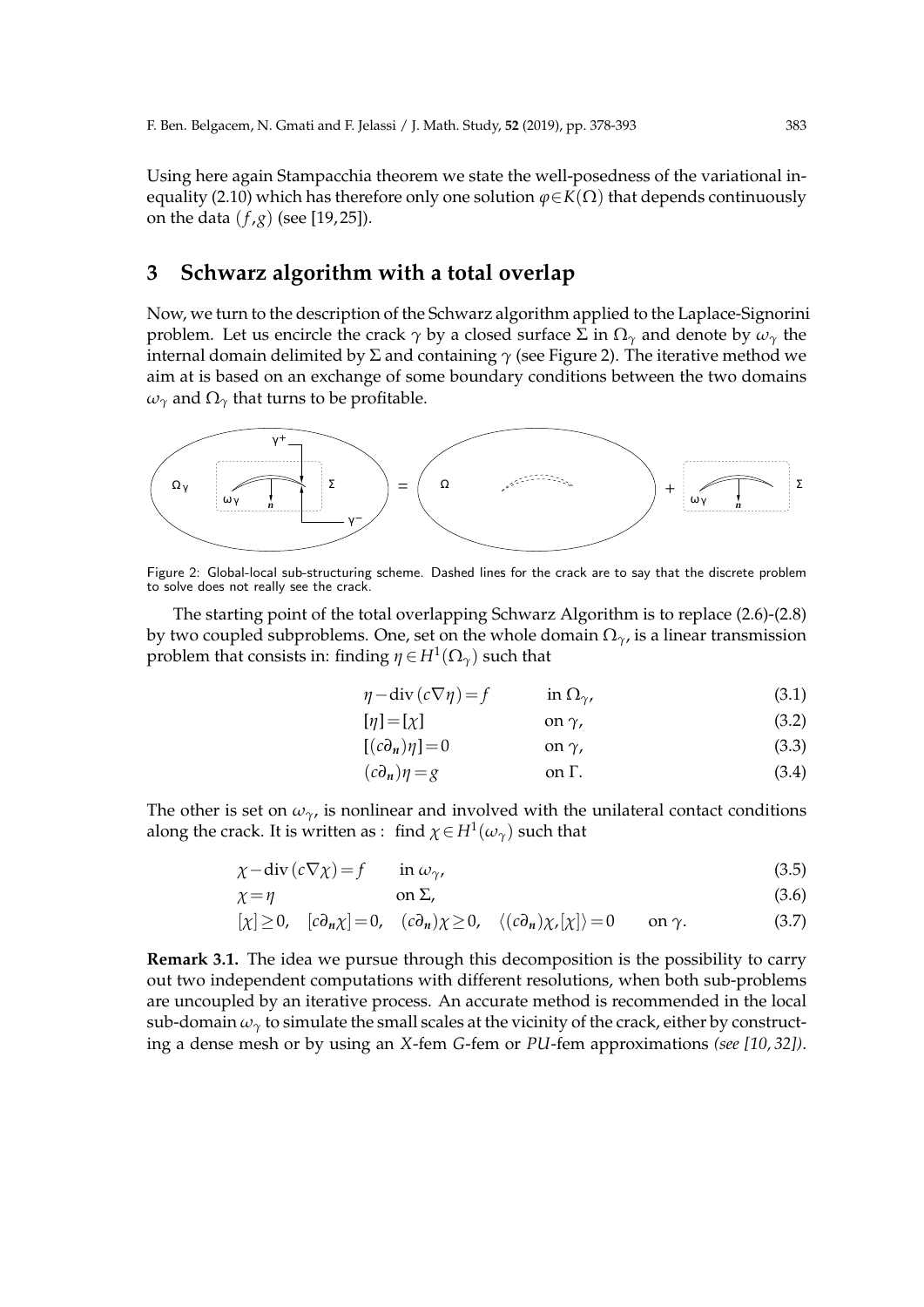Using here again Stampacchia theorem we state the well-posedness of the variational inequality (2.10) which has therefore only one solution  $\varphi \in K(\Omega)$  that depends continuously on the data (*f* ,*g*) (see [19, 25]).

# **3 Schwarz algorithm with a total overlap**

Now, we turn to the description of the Schwarz algorithm applied to the Laplace-Signorini problem. Let us encircle the crack  $\gamma$  by a closed surface  $\Sigma$  in  $\Omega_\gamma$  and denote by  $\omega_\gamma$  the internal domain delimited by  $\Sigma$  and containing  $\gamma$  (see Figure 2). The iterative method we aim at is based on an exchange of some boundary conditions between the two domains  $ω<sub>γ</sub>$  and  $Ω<sub>γ</sub>$  that turns to be profitable.



Figure 2: Global-local sub-structuring scheme. Dashed lines for the crack are to say that the discrete problem to solve does not really see the crack.

The starting point of the total overlapping Schwarz Algorithm is to replace (2.6)-(2.8) by two coupled subproblems. One, set on the whole domain Ω*γ*, is a linear transmission problem that consists in: finding  $\eta \in H^1(\Omega_\gamma)$  such that

$$
\eta - \operatorname{div} (c \nabla \eta) = f \qquad \text{in } \Omega_{\gamma}, \tag{3.1}
$$

$$
[\eta] = [\chi] \qquad \text{on } \gamma,\tag{3.2}
$$

$$
[(c\partial_n)\eta] = 0 \qquad \text{on } \gamma,\tag{3.3}
$$

$$
(c\partial_n)\eta = g \qquad \text{on } \Gamma. \tag{3.4}
$$

The other is set on  $\omega_{\gamma}$ , is nonlinear and involved with the unilateral contact conditions along the crack. It is written as : find  $\chi \in H^1(\omega_\gamma)$  such that

$$
\chi - \operatorname{div} (c \nabla \chi) = f \qquad \text{in } \omega_{\gamma}, \tag{3.5}
$$

$$
\chi = \eta \tag{3.6}
$$

$$
[\chi] \ge 0, \quad [c\partial_n \chi] = 0, \quad (c\partial_n)\chi \ge 0, \quad \langle (c\partial_n)\chi, [\chi] \rangle = 0 \quad \text{on } \gamma. \tag{3.7}
$$

**Remark 3.1.** The idea we pursue through this decomposition is the possibility to carry out two independent computations with different resolutions, when both sub-problems are uncoupled by an iterative process. An accurate method is recommended in the local sub-domain  $\omega_{\gamma}$  to simulate the small scales at the vicinity of the crack, either by constructing a dense mesh or by using an *X*-fem *G*-fem or *PU*-fem approximations *(see [10, 32])*.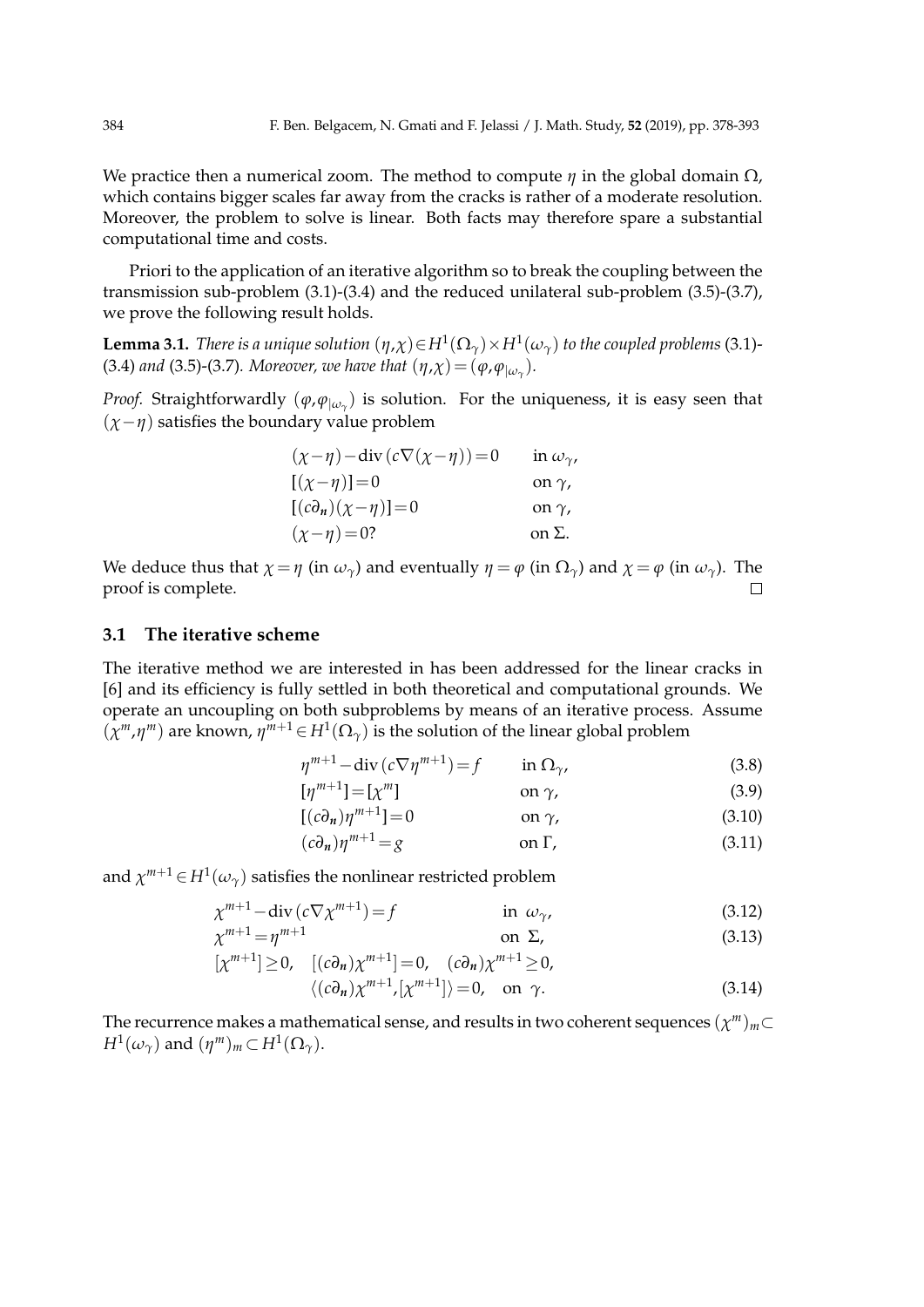We practice then a numerical zoom. The method to compute *η* in the global domain Ω, which contains bigger scales far away from the cracks is rather of a moderate resolution. Moreover, the problem to solve is linear. Both facts may therefore spare a substantial computational time and costs.

Priori to the application of an iterative algorithm so to break the coupling between the transmission sub-problem (3.1)-(3.4) and the reduced unilateral sub-problem (3.5)-(3.7), we prove the following result holds.

**Lemma 3.1.** *There is a unique solution*  $(\eta, \chi) \in H^1(\Omega_\gamma) \times H^1(\omega_\gamma)$  *to the coupled problems* (3.1)-(3.4) and (3.5)-(3.7). Moreover, we have that  $(\eta, \chi) = (\varphi, \varphi_{|\omega_{\gamma}})$ .

*Proof.* Straightforwardly  $(\varphi, \varphi_{|\omega_\gamma})$  is solution. For the uniqueness, it is easy seen that (*χ−η*) satisfies the boundary value problem

| $(\chi-\eta)$ - div $(c\nabla(\chi-\eta))=0$ | in $\omega_{\gamma}$ , |
|----------------------------------------------|------------------------|
| $[(\chi-\eta)]=0$                            | on $\gamma$ ,          |
| $[(c\partial_n)(\chi-\eta)]=0$               | on $\gamma$ ,          |
| $(\chi-\eta) = 0?$                           | on $\Sigma$ .          |

We deduce thus that  $\chi = \eta$  (in  $\omega_{\gamma}$ ) and eventually  $\eta = \varphi$  (in  $\Omega_{\gamma}$ ) and  $\chi = \varphi$  (in  $\omega_{\gamma}$ ). The proof is complete.  $\Box$ 

### **3.1 The iterative scheme**

The iterative method we are interested in has been addressed for the linear cracks in [6] and its efficiency is fully settled in both theoretical and computational grounds. We operate an uncoupling on both subproblems by means of an iterative process. Assume  $(\chi^m, \eta^m)$  are known,  $\eta^{m+1} \in H^1(\Omega_\gamma)$  is the solution of the linear global problem

$$
\eta^{m+1} - \operatorname{div}\left(c\nabla\eta^{m+1}\right) = f \qquad \text{in } \Omega_{\gamma}, \tag{3.8}
$$

$$
[\eta^{m+1}] = [\chi^m] \qquad \text{on } \gamma,\tag{3.9}
$$

$$
[(c\partial_n)\eta^{m+1}]=0 \qquad \text{on } \gamma,\tag{3.10}
$$

$$
(c\partial_n)\eta^{m+1} = g \qquad \text{on } \Gamma,\tag{3.11}
$$

and  $\chi^{m+1} \in H^1(\omega_\gamma)$  satisfies the nonlinear restricted problem

$$
\chi^{m+1} - \operatorname{div}\left(c\nabla\chi^{m+1}\right) = f \qquad \text{in } \omega_{\gamma}, \tag{3.12}
$$

$$
\chi^{m+1} = \eta^{m+1} \qquad \text{on } \Sigma,\tag{3.13}
$$

$$
[\chi^{m+1}] \ge 0, \quad [(\mathfrak{c}\partial_n)\chi^{m+1}] = 0, \quad (\mathfrak{c}\partial_n)\chi^{m+1} \ge 0, \langle (\mathfrak{c}\partial_n)\chi^{m+1}, [\chi^{m+1}] \rangle = 0, \quad \text{on } \gamma.
$$
\n(3.14)

The recurrence makes a mathematical sense, and results in two coherent sequences  $(\chi^m)_m \subset$  $H^1(\omega_\gamma)$  and  $(\eta^m)_m \subset H^1(\Omega_\gamma)$ .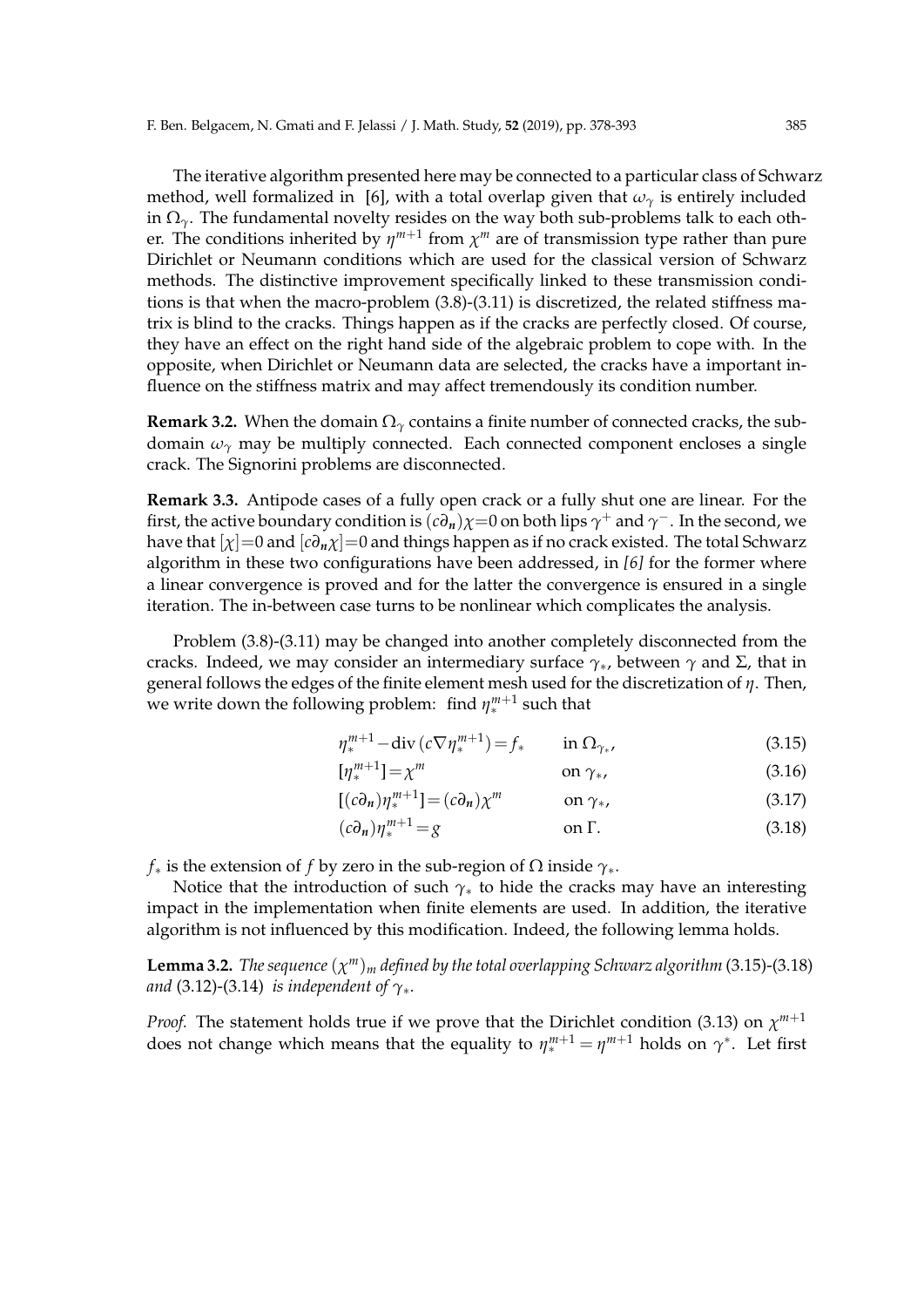The iterative algorithm presented here may be connected to a particular class of Schwarz method, well formalized in [6], with a total overlap given that  $\omega_{\gamma}$  is entirely included in  $\Omega_{\gamma}$ . The fundamental novelty resides on the way both sub-problems talk to each other. The conditions inherited by  $\eta^{m+1}$  from  $\chi^m$  are of transmission type rather than pure Dirichlet or Neumann conditions which are used for the classical version of Schwarz methods. The distinctive improvement specifically linked to these transmission conditions is that when the macro-problem (3.8)-(3.11) is discretized, the related stiffness matrix is blind to the cracks. Things happen as if the cracks are perfectly closed. Of course, they have an effect on the right hand side of the algebraic problem to cope with. In the opposite, when Dirichlet or Neumann data are selected, the cracks have a important influence on the stiffness matrix and may affect tremendously its condition number.

**Remark 3.2.** When the domain  $\Omega_{\gamma}$  contains a finite number of connected cracks, the subdomain  $\omega_\gamma$  may be multiply connected. Each connected component encloses a single crack. The Signorini problems are disconnected.

**Remark 3.3.** Antipode cases of a fully open crack or a fully shut one are linear. For the first, the active boundary condition is  $(c\partial_n)\chi$ =0 on both lips  $\gamma^+$  and  $\gamma^-$ . In the second, we have that  $[\chi]=0$  and  $[c\partial_n \chi]=0$  and things happen as if no crack existed. The total Schwarz algorithm in these two configurations have been addressed, in *[6]* for the former where a linear convergence is proved and for the latter the convergence is ensured in a single iteration. The in-between case turns to be nonlinear which complicates the analysis.

Problem (3.8)-(3.11) may be changed into another completely disconnected from the cracks. Indeed, we may consider an intermediary surface  $\gamma_*$ , between  $\gamma$  and  $\Sigma$ , that in general follows the edges of the finite element mesh used for the discretization of *η*. Then, we write down the following problem: find *η m*+1 <sup>*m*+1</sup> such that

$$
\eta_*^{m+1} - \operatorname{div}\left(c\nabla\eta_*^{m+1}\right) = f_* \qquad \text{in } \Omega_{\gamma_*},\tag{3.15}
$$

$$
[\eta_*^{m+1}] = \chi^m \qquad \text{on } \gamma_*, \tag{3.16}
$$

$$
[(c\partial_n)\eta_*^{m+1}] = (c\partial_n)\chi^m \qquad \text{on } \gamma_*, \qquad (3.17)
$$

$$
(c\partial_n)\eta_*^{m+1} = g \qquad \text{on } \Gamma. \tag{3.18}
$$

*f*<sup>∗</sup> is the extension of *f* by zero in the sub-region of  $Ω$  inside  $γ$ <sup>\*</sup>.

Notice that the introduction of such *γ<sup>∗</sup>* to hide the cracks may have an interesting impact in the implementation when finite elements are used. In addition, the iterative algorithm is not influenced by this modification. Indeed, the following lemma holds.

**Lemma 3.2.** *The sequence*  $(\chi^m)_m$  *defined by the total overlapping Schwarz algorithm* (3.15)-(3.18) *and* (3.12)-(3.14) *is independent of γ∗.*

*Proof.* The statement holds true if we prove that the Dirichlet condition (3.13) on *χ m*+1 does not change which means that the equality to  $\eta_*^{m+1} = \eta^{m+1}$  holds on  $\gamma^*$ . Let first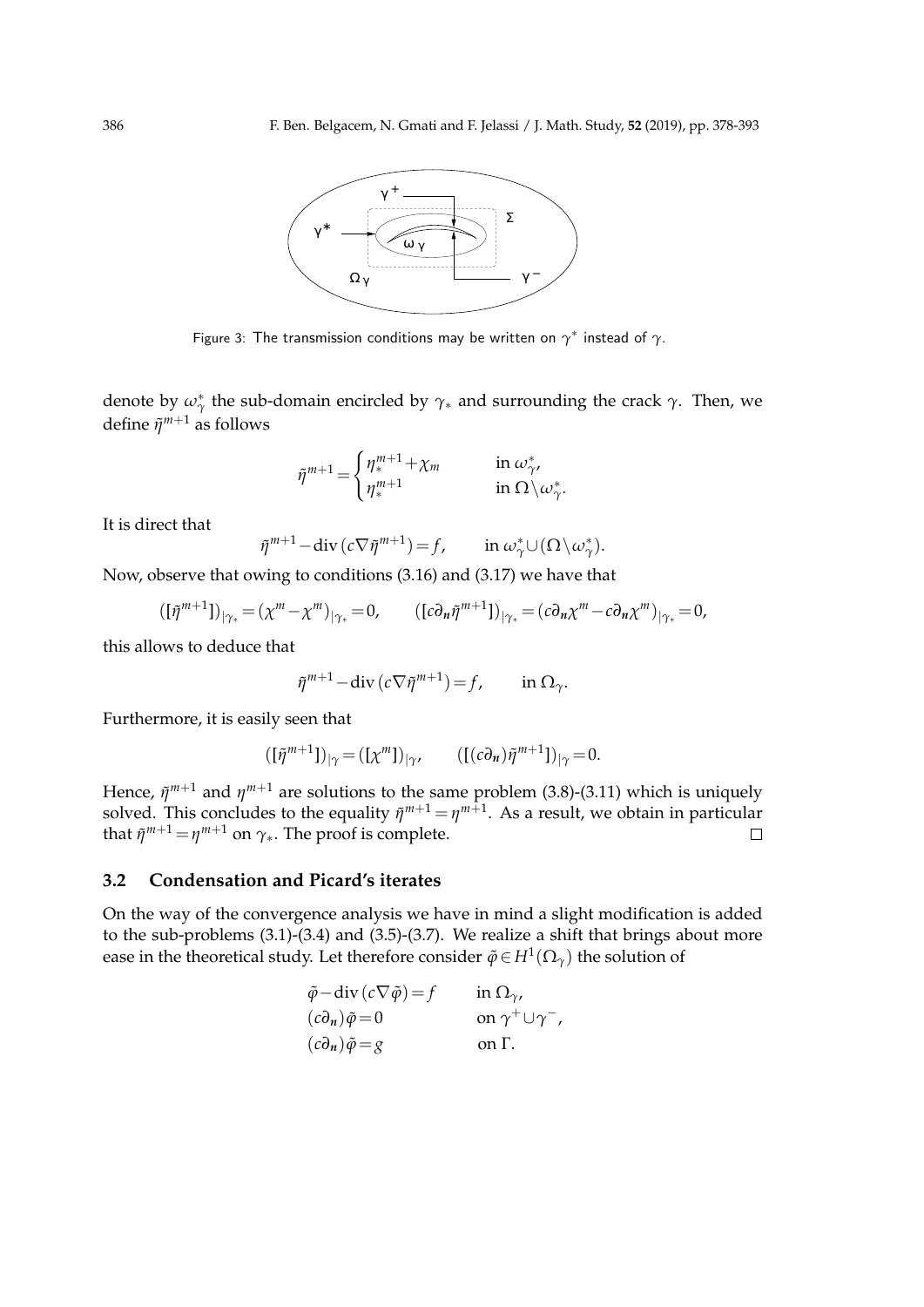

Figure 3: The transmission conditions may be written on *γ ∗* instead of *γ*.

denote by *ω∗ γ* the sub-domain encircled by *γ<sup>∗</sup>* and surrounding the crack *γ*. Then, we define *η*˜ *<sup>m</sup>*+<sup>1</sup> as follows

$$
\tilde{\eta}^{m+1} = \begin{cases} \eta_*^{m+1} + \chi_m & \text{in } \omega_{\gamma'}^* \\ \eta_*^{m+1} & \text{in } \Omega \setminus \omega_{\gamma}^* . \end{cases}
$$

It is direct that

$$
\tilde{\eta}^{m+1} - \operatorname{div} (c \nabla \tilde{\eta}^{m+1}) = f, \qquad \text{in } \omega_{\gamma}^* \cup (\Omega \backslash \omega_{\gamma}^*).
$$

Now, observe that owing to conditions (3.16) and (3.17) we have that

$$
([\tilde{\eta}^{m+1}])_{|\gamma_*} = (\chi^m - \chi^m)_{|\gamma_*} = 0, \qquad ([c \partial_n \tilde{\eta}^{m+1}])_{|\gamma_*} = (c \partial_n \chi^m - c \partial_n \chi^m)_{|\gamma_*} = 0,
$$

this allows to deduce that

$$
\tilde{\eta}^{m+1} - \operatorname{div}\left(c\nabla\tilde{\eta}^{m+1}\right) = f, \qquad \text{in } \Omega_{\gamma}.
$$

Furthermore, it is easily seen that

$$
([\tilde{\eta}^{m+1}])_{|\gamma} = ([\chi^m])_{|\gamma}, \qquad ([(c\partial_n)\tilde{\eta}^{m+1}])_{|\gamma} = 0.
$$

Hence,  $\tilde{\eta}^{m+1}$  and  $\eta^{m+1}$  are solutions to the same problem (3.8)-(3.11) which is uniquely solved. This concludes to the equality  $\tilde{\eta}^{m+1}$  =  $\eta^{m+1}$ . As a result, we obtain in particular that  $\tilde{\eta}^{m+1} = \eta^{m+1}$  on  $\gamma_*$ . The proof is complete.

### **3.2 Condensation and Picard's iterates**

On the way of the convergence analysis we have in mind a slight modification is added to the sub-problems (3.1)-(3.4) and (3.5)-(3.7). We realize a shift that brings about more ease in the theoretical study. Let therefore consider  $\tilde{\varphi}$   $\in$   $H^{1}(\Omega_{\gamma})$  the solution of

$$
\tilde{\varphi} - \text{div} (c \nabla \tilde{\varphi}) = f \qquad \text{in } \Omega_{\gamma},
$$
  
\n
$$
(c\partial_n)\tilde{\varphi} = 0 \qquad \text{on } \gamma^+ \cup \gamma^-,
$$
  
\n
$$
(c\partial_n)\tilde{\varphi} = g \qquad \text{on } \Gamma.
$$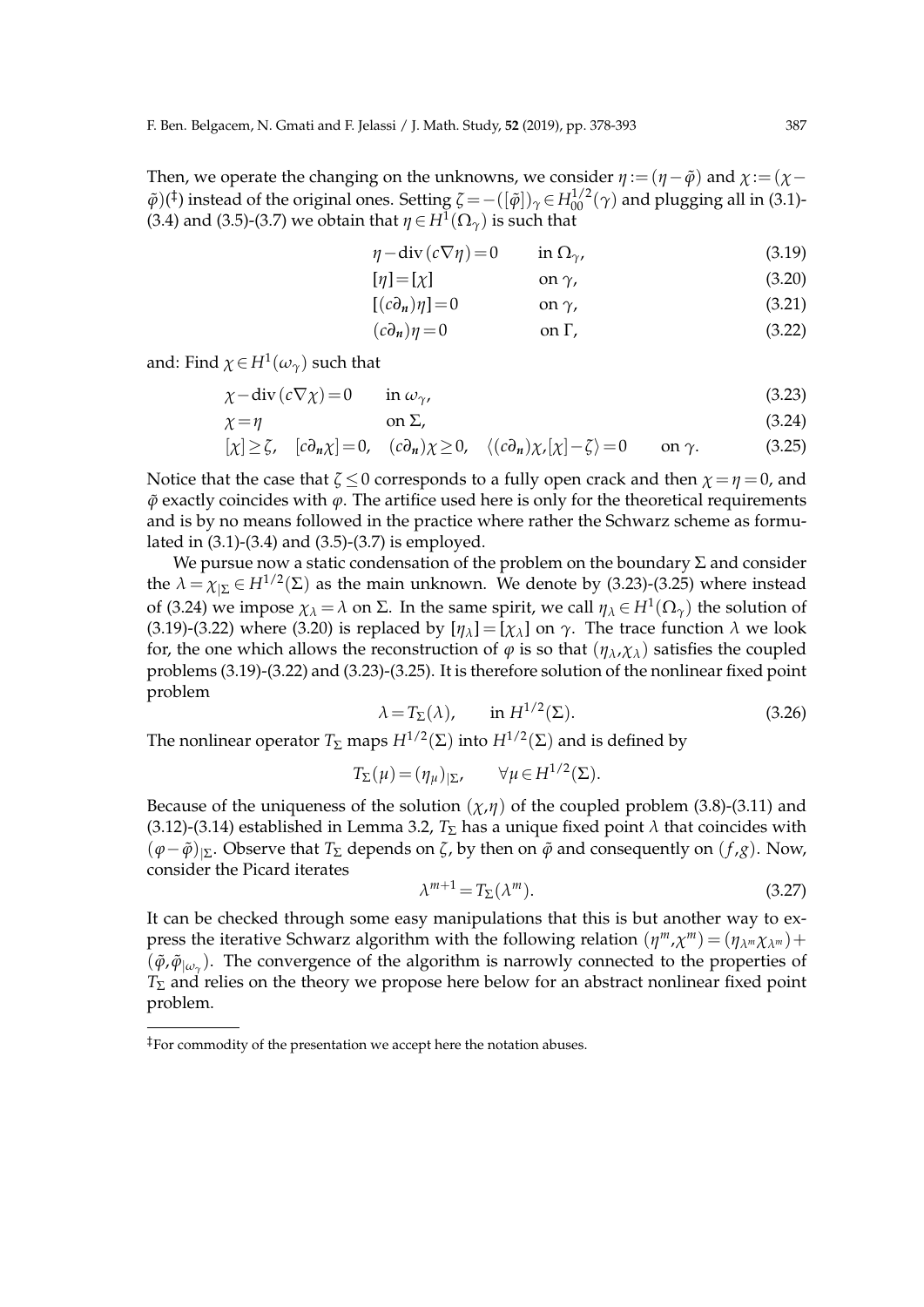Then, we operate the changing on the unknowns, we consider  $\eta := (\eta - \tilde{\varphi})$  and  $\chi := (\chi - \tilde{\chi})$  $\tilde{\varphi}$ )(<sup>‡</sup>) instead of the original ones. Setting  $\zeta = -([\tilde{\varphi}])_{\gamma} \in H_{00}^{1/2}(\gamma)$  and plugging all in (3.1)-(3.4) and (3.5)-(3.7) we obtain that  $\eta \in H^1(\Omega_\gamma)$  is such that

$$
\eta - \operatorname{div} (c \nabla \eta) = 0 \qquad \text{in } \Omega_{\gamma}, \tag{3.19}
$$

$$
[\eta] = [\chi] \qquad \text{on } \gamma,\tag{3.20}
$$

$$
[(c\partial_n)\eta] = 0 \qquad \text{on } \gamma,\tag{3.21}
$$

$$
(c\partial_n)\eta = 0 \qquad \text{on } \Gamma,\tag{3.22}
$$

and: Find  $\chi \in H^1(\omega_\gamma)$  such that

$$
\chi - \operatorname{div} \left( c \nabla \chi \right) = 0 \qquad \text{in } \omega_{\gamma}, \tag{3.23}
$$

$$
\chi = \eta \tag{3.24}
$$

$$
[\chi] \ge \zeta, \quad [c\partial_n \chi] = 0, \quad (c\partial_n)\chi \ge 0, \quad \langle (c\partial_n)\chi, [\chi] - \zeta \rangle = 0 \quad \text{on } \gamma. \tag{3.25}
$$

Notice that the case that  $\zeta \leq 0$  corresponds to a fully open crack and then  $\chi = \eta = 0$ , and  $\tilde{\varphi}$  exactly coincides with  $\varphi$ . The artifice used here is only for the theoretical requirements and is by no means followed in the practice where rather the Schwarz scheme as formulated in (3.1)-(3.4) and (3.5)-(3.7) is employed.

We pursue now a static condensation of the problem on the boundary  $\Sigma$  and consider the  $\lambda = \chi_{\Sigma} \in H^{1/2}(\Sigma)$  as the main unknown. We denote by (3.23)-(3.25) where instead of (3.24) we impose  $\chi_{\lambda} = \lambda$  on Σ. In the same spirit, we call  $\eta_{\lambda} \in H^1(\Omega_{\gamma})$  the solution of (3.19)-(3.22) where (3.20) is replaced by  $[\eta_{\lambda}] = [\chi_{\lambda}]$  on  $\gamma$ . The trace function  $\lambda$  we look for, the one which allows the reconstruction of  $\varphi$  is so that  $(\eta_{\lambda}, \chi_{\lambda})$  satisfies the coupled problems (3.19)-(3.22) and (3.23)-(3.25). It is therefore solution of the nonlinear fixed point problem

$$
\lambda = T_{\Sigma}(\lambda), \qquad \text{in } H^{1/2}(\Sigma). \tag{3.26}
$$

The nonlinear operator  $T_{\Sigma}$  maps  $H^{1/2}(\Sigma)$  into  $H^{1/2}(\Sigma)$  and is defined by

$$
T_{\Sigma}(\mu) = (\eta_{\mu})_{|\Sigma}, \qquad \forall \mu \in H^{1/2}(\Sigma).
$$

Because of the uniqueness of the solution  $(\chi,\eta)$  of the coupled problem (3.8)-(3.11) and (3.12)-(3.14) established in Lemma 3.2,  $T_{\Sigma}$  has a unique fixed point  $\lambda$  that coincides with (*φ−φ*˜)*|*Σ. Observe that *<sup>T</sup>*<sup>Σ</sup> depends on *<sup>ζ</sup>*, by then on *<sup>φ</sup>*˜ and consequently on (*<sup>f</sup>* ,*g*). Now, consider the Picard iterates

$$
\lambda^{m+1} = T_{\Sigma}(\lambda^m). \tag{3.27}
$$

It can be checked through some easy manipulations that this is but another way to express the iterative Schwarz algorithm with the following relation  $(\eta^m, \chi^m) = (\eta_{\lambda^m} \chi_{\lambda^m}) +$  $(\tilde{\varphi}, \tilde{\varphi}|_{\omega_{\gamma}})$ . The convergence of the algorithm is narrowly connected to the properties of *T*<sup>Σ</sup> and relies on the theory we propose here below for an abstract nonlinear fixed point problem.

<sup>‡</sup>For commodity of the presentation we accept here the notation abuses.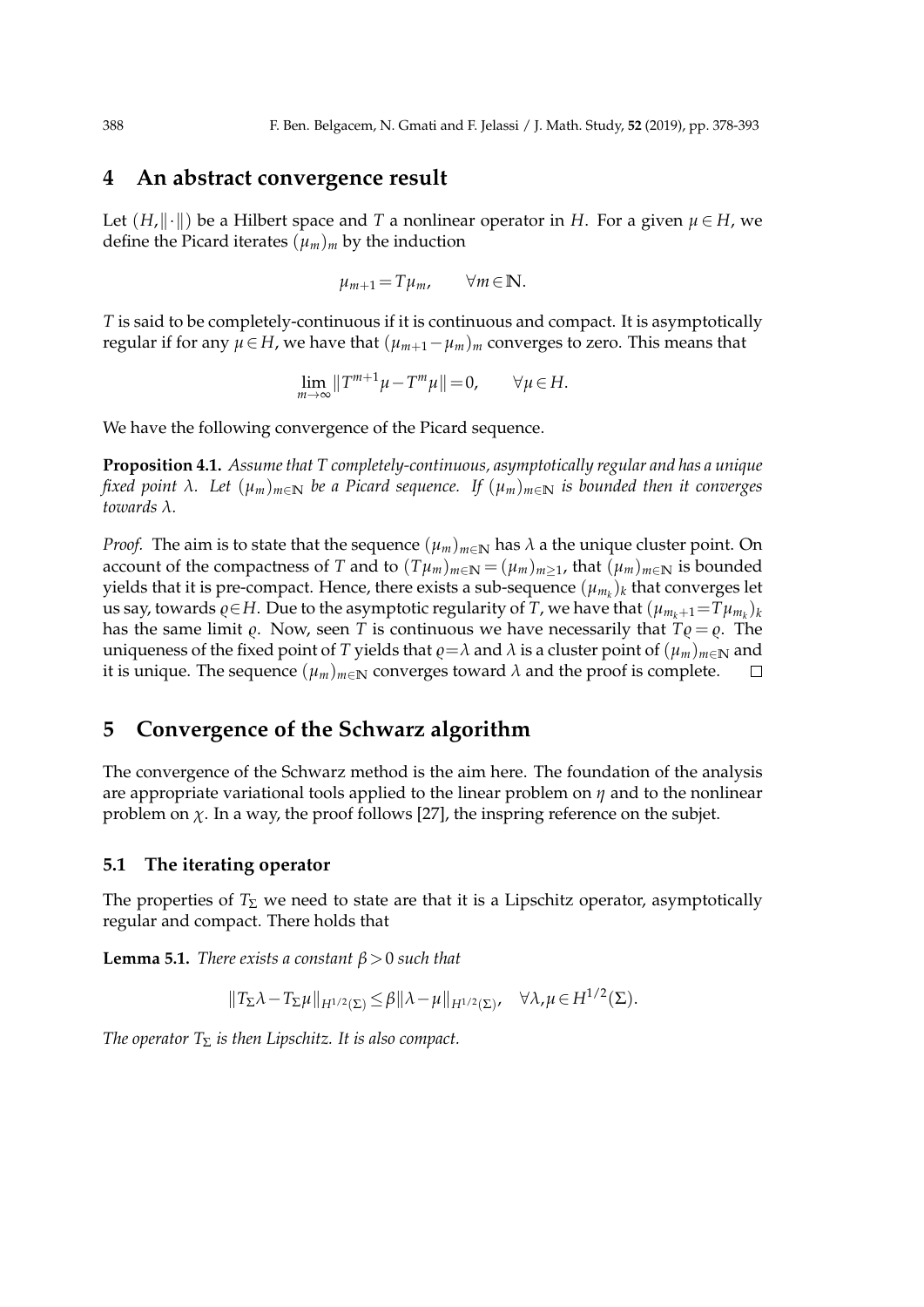### **4 An abstract convergence result**

Let  $(H, \|\cdot\|)$  be a Hilbert space and *T* a nonlinear operator in *H*. For a given  $\mu \in H$ , we define the Picard iterates  $(\mu_m)_m$  by the induction

$$
\mu_{m+1} = T\mu_m, \qquad \forall m \in \mathbb{N}.
$$

*T* is said to be completely-continuous if it is continuous and compact. It is asymptotically *regular if for any*  $\mu$  ∈ *H*, we have that  $(\mu_{m+1} - \mu_m)_m$  converges to zero. This means that

$$
\lim_{m \to \infty} ||T^{m+1}\mu - T^m \mu|| = 0, \qquad \forall \mu \in H.
$$

We have the following convergence of the Picard sequence.

**Proposition 4.1.** *Assume that T completely-continuous, asymptotically regular and has a unique fixed point λ. Let* (*µm*)*m∈***<sup>N</sup>** *be a Picard sequence. If* (*µm*)*m∈***<sup>N</sup>** *is bounded then it converges towards λ.*

*Proof.* The aim is to state that the sequence  $(\mu_m)_{m\in\mathbb{N}}$  has  $\lambda$  a the unique cluster point. On account of the compactness of *T* and to  $(T\mu_m)_{m\in\mathbb{N}} = (\mu_m)_{m>1}$ , that  $(\mu_m)_{m\in\mathbb{N}}$  is bounded yields that it is pre-compact. Hence, there exists a sub-sequence  $(\mu_{m_k})_k$  that converges let us say, towards  $\varrho \in H$ . Due to the asymptotic regularity of *T*, we have that  $(\mu_{m_k+1} = T\mu_{m_k})_k$ has the same limit  $\varrho$ . Now, seen *T* is continuous we have necessarily that  $T\varrho = \varrho$ . The uniqueness of the fixed point of *T* yields that *g*=*λ* and *λ* is a cluster point of  $(\mu_m)_{m \in \mathbb{N}}$  and it is unique. The sequence  $(\mu_m)_{m \in \mathbb{N}}$  converges toward *λ* and the proof is complete. it is unique. The sequence  $(\mu_m)_{m \in \mathbb{N}}$  converges toward  $\lambda$  and the proof is complete.

### **5 Convergence of the Schwarz algorithm**

The convergence of the Schwarz method is the aim here. The foundation of the analysis are appropriate variational tools applied to the linear problem on *η* and to the nonlinear problem on  $\chi$ . In a way, the proof follows [27], the inspring reference on the subjet.

#### **5.1 The iterating operator**

The properties of  $T_{\Sigma}$  we need to state are that it is a Lipschitz operator, asymptotically regular and compact. There holds that

**Lemma 5.1.** *There exists a constant β>*0 *such that*

$$
||T_{\Sigma}\lambda - T_{\Sigma}\mu||_{H^{1/2}(\Sigma)} \leq \beta ||\lambda - \mu||_{H^{1/2}(\Sigma)}, \quad \forall \lambda, \mu \in H^{1/2}(\Sigma).
$$

*The operator*  $T_{\Sigma}$  *is then Lipschitz. It is also compact.*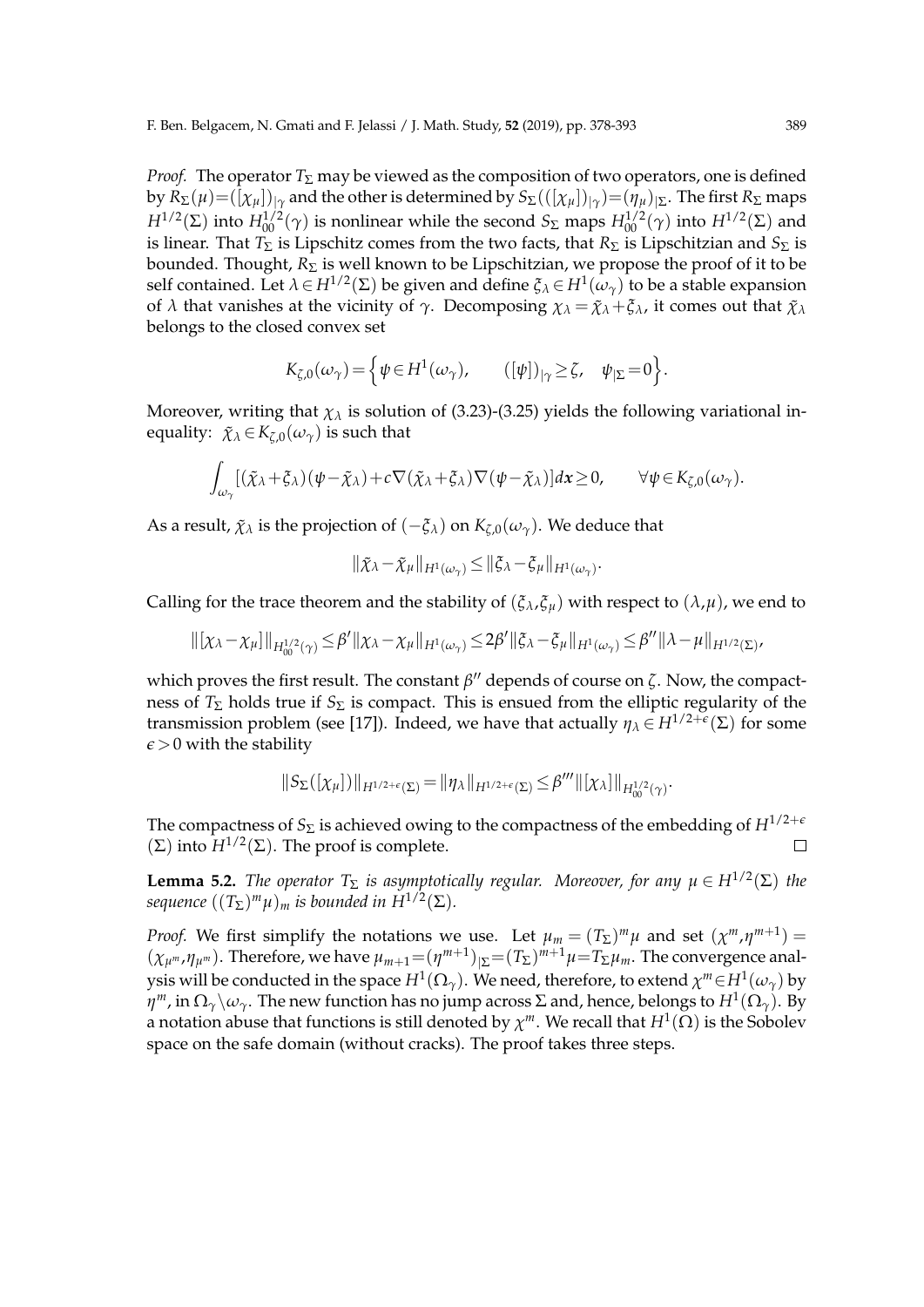*Proof.* The operator  $T_{\Sigma}$  may be viewed as the composition of two operators, one is defined  $\log R_{\Sigma}(\mu) = ( [\chi_{\mu}])_{|\gamma}$  and the other is determined by  $S_{\Sigma}(([\chi_{\mu}])_{|\gamma}) = (\eta_{\mu})_{|\Sigma}$ . The first  $R_{\Sigma}$  maps *H*<sup>1/2</sup>(Σ) into *H*<sup>1/2</sup>( $\gamma$ ) is nonlinear while the second *S*<sub>Σ</sub> maps  $H_{00}^{1/2}(\gamma)$  into  $H^{1/2}(\Sigma)$  and is linear. That  $T_{\Sigma}$  is Lipschitz comes from the two facts, that  $R_{\Sigma}$  is Lipschitzian and  $S_{\Sigma}$  is bounded. Thought, *R*<sup>Σ</sup> is well known to be Lipschitzian, we propose the proof of it to be self contained. Let  $\lambda \in H^{1/2}(\Sigma)$  be given and define  $\xi_{\lambda} \in H^1(\omega_{\gamma})$  to be a stable expansion of  $\lambda$  that vanishes at the vicinity of  $\gamma$ . Decomposing  $\chi_{\lambda} = \tilde{\chi}_{\lambda} + \xi_{\lambda}$ , it comes out that  $\tilde{\chi}_{\lambda}$ belongs to the closed convex set

$$
K_{\zeta,0}(\omega_\gamma) = \left\{ \psi \in H^1(\omega_\gamma), \qquad ([\psi])_{|\gamma} \ge \zeta, \quad \psi_{|\Sigma} = 0 \right\}.
$$

Moreover, writing that  $\chi_{\lambda}$  is solution of (3.23)-(3.25) yields the following variational inequality:  $\tilde{\chi}_{\lambda} \in K_{\zeta,0}(\omega_{\gamma})$  is such that

$$
\int_{\omega_\gamma} [(\tilde{\chi}_\lambda + \xi_\lambda)(\psi - \tilde{\chi}_\lambda) + c \nabla (\tilde{\chi}_\lambda + \xi_\lambda) \nabla (\psi - \tilde{\chi}_\lambda)] d\mathbf{x} \ge 0, \qquad \forall \psi \in K_{\zeta,0}(\omega_\gamma).
$$

As a result,  $\tilde{\chi}_{\lambda}$  is the projection of  $(-\xi_{\lambda})$  on  $K_{\zeta,0}(\omega_{\gamma})$ . We deduce that

$$
\|\tilde{\chi}_{\lambda}-\tilde{\chi}_{\mu}\|_{H^1(\omega_{\gamma})}\leq \|\tilde{\zeta}_{\lambda}-\tilde{\zeta}_{\mu}\|_{H^1(\omega_{\gamma})}.
$$

Calling for the trace theorem and the stability of  $(\xi_\lambda, \xi_u)$  with respect to  $(\lambda, \mu)$ , we end to

$$
\|[\chi_{\lambda}-\chi_{\mu}]\|_{H_{00}^{1/2}(\gamma)} \leq \beta' \|\chi_{\lambda}-\chi_{\mu}\|_{H^1(\omega_{\gamma})} \leq 2\beta' \|\xi_{\lambda}-\xi_{\mu}\|_{H^1(\omega_{\gamma})} \leq \beta'' \|\lambda-\mu\|_{H^{1/2}(\Sigma)},
$$

which proves the first result. The constant *β ′′* depends of course on *ζ*. Now, the compactness of  $T_{\Sigma}$  holds true if  $S_{\Sigma}$  is compact. This is ensued from the elliptic regularity of the transmission problem (see [17]). Indeed, we have that actually  $\eta_{\lambda} \in H^{1/2+\epsilon}(\Sigma)$  for some  $\epsilon$  > 0 with the stability

$$
\|S_\Sigma([\chi_\mu])\|_{H^{1/2+\epsilon}(\Sigma)}=\|\eta_\lambda\|_{H^{1/2+\epsilon}(\Sigma)}\leq\beta'''\|[\chi_\lambda]\|_{H^{1/2}_{00}(\gamma)}
$$

.

The compactness of  $S_{\Sigma}$  is achieved owing to the compactness of the embedding of  $H^{1/2+\epsilon}$  $(\Sigma)$  into  $H^{1/2}(\Sigma)$ . The proof is complete.  $\Box$ 

**Lemma 5.2.** *The operator*  $T_{\Sigma}$  *is asymptotically regular. Moreover, for any*  $\mu \in H^{1/2}(\Sigma)$  *the*  $s$ equence  $((T_{\Sigma})^{m}\mu)_{m}$  is bounded in  $H^{1/2}(\Sigma).$ 

*Proof.* We first simplify the notations we use. Let  $\mu_m = (T_{\Sigma})^m \mu$  and set  $(\chi^m, \eta^{m+1}) =$  $(\chi_{\mu^m}, \eta_{\mu^m})$ . Therefore, we have  $\mu_{m+1} = (\eta^{m+1})_{|\Sigma} = (T_{\Sigma})^{m+1} \mu = T_{\Sigma} \mu_m$ . The convergence analysis will be conducted in the space  $H^1(\Omega_\gamma)$ . We need, therefore, to extend  $\chi^m$   $\in$   $H^1(\omega_\gamma)$  by *η<sup>m</sup>*, in  $\Omega_\gamma\backslash\omega_\gamma$ . The new function has no jump across Σ and, hence, belongs to  $H^1(\Omega_\gamma)$ . By a notation abuse that functions is still denoted by  $\chi^m.$  We recall that  $H^1(\Omega)$  is the Sobolev space on the safe domain (without cracks). The proof takes three steps.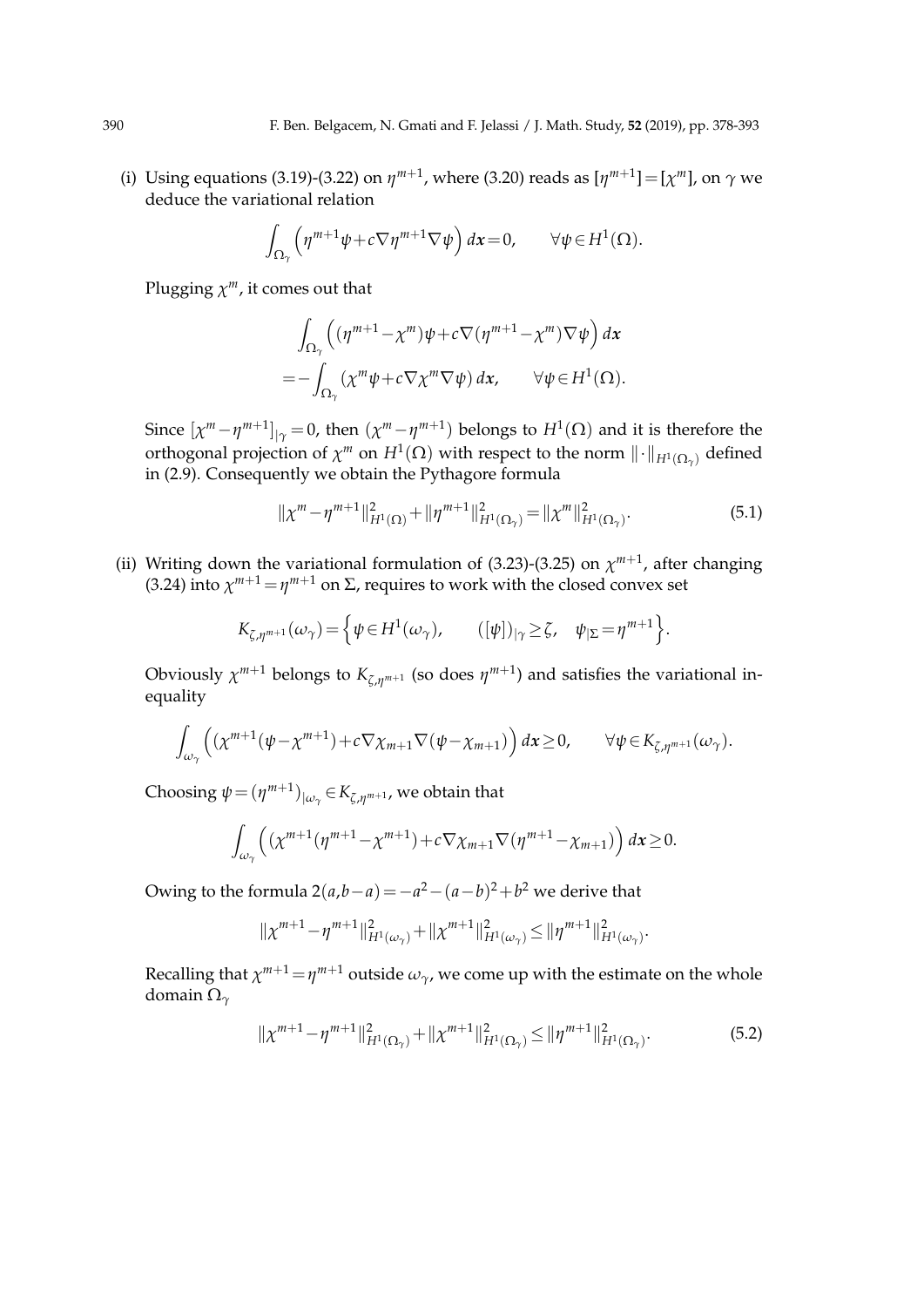(i) Using equations (3.19)-(3.22) on  $\eta^{m+1}$ , where (3.20) reads as  $[\eta^{m+1}] = [\chi^m]$ , on  $\gamma$  we deduce the variational relation

$$
\int_{\Omega_{\gamma}} \left( \eta^{m+1} \psi + c \nabla \eta^{m+1} \nabla \psi \right) dx = 0, \qquad \forall \psi \in H^{1}(\Omega).
$$

Plugging *χ <sup>m</sup>*, it comes out that

$$
\int_{\Omega_{\gamma}} \left( (\eta^{m+1} - \chi^m) \psi + c \nabla (\eta^{m+1} - \chi^m) \nabla \psi \right) dx
$$
  
= 
$$
- \int_{\Omega_{\gamma}} (\chi^m \psi + c \nabla \chi^m \nabla \psi) dx, \qquad \forall \psi \in H^1(\Omega).
$$

Since  $[\chi^m - \eta^{m+1}]_{|\gamma} = 0$ , then  $(\chi^m - \eta^{m+1})$  belongs to  $H^1(\Omega)$  and it is therefore the orthogonal projection of  $\chi^m$  on  $H^1(\Omega)$  with respect to the norm  $\|\cdot\|_{H^1(\Omega_\gamma)}$  defined in (2.9). Consequently we obtain the Pythagore formula

$$
\|\chi^m - \eta^{m+1}\|_{H^1(\Omega)}^2 + \|\eta^{m+1}\|_{H^1(\Omega_\gamma)}^2 = \|\chi^m\|_{H^1(\Omega_\gamma)}^2.
$$
\n(5.1)

(ii) Writing down the variational formulation of (3.23)-(3.25) on  $\chi^{m+1}$ , after changing (3.24) into  $\chi^{m+1} = \eta^{m+1}$  on  $\Sigma$ , requires to work with the closed convex set

$$
K_{\zeta,\eta^{m+1}}(\omega_\gamma) = \left\{ \psi \in H^1(\omega_\gamma), \qquad (\left[\psi\right])_{|\gamma} \geq \zeta, \quad \psi_{|\Sigma} = \eta^{m+1} \right\}.
$$

Obviously  $\chi^{m+1}$  belongs to  $K_{\zeta,\eta^{m+1}}$  (so does  $\eta^{m+1}$ ) and satisfies the variational inequality

$$
\int_{\omega_\gamma} \left( \left( \chi^{m+1}(\psi - \chi^{m+1}) + c \nabla \chi_{m+1} \nabla (\psi - \chi_{m+1}) \right) dx \ge 0, \qquad \forall \psi \in K_{\zeta, \eta^{m+1}}(\omega_\gamma).
$$

Choosing  $\psi = (\eta^{m+1})_{|\omega_\gamma} \in K_{\zeta, \eta^{m+1}}$ , we obtain that

$$
\int_{\omega_\gamma} \left( \left( \chi^{m+1}(\eta^{m+1} - \chi^{m+1}) + c \nabla \chi_{m+1} \nabla (\eta^{m+1} - \chi_{m+1}) \right) dx \ge 0.
$$

Owing to the formula  $2(a,b-a) = -a^2 - (a-b)^2 + b^2$  we derive that

$$
\|\chi^{m+1}-\eta^{m+1}\|_{H^1(\omega_\gamma)}^2+\|\chi^{m+1}\|_{H^1(\omega_\gamma)}^2\leq \|\eta^{m+1}\|_{H^1(\omega_\gamma)}^2.
$$

Recalling that  $\chi^{m+1} = \eta^{m+1}$  outside  $\omega_{\gamma}$ , we come up with the estimate on the whole domain Ω*<sup>γ</sup>*

$$
\|\chi^{m+1} - \eta^{m+1}\|_{H^1(\Omega_\gamma)}^2 + \|\chi^{m+1}\|_{H^1(\Omega_\gamma)}^2 \le \|\eta^{m+1}\|_{H^1(\Omega_\gamma)}^2.
$$
\n(5.2)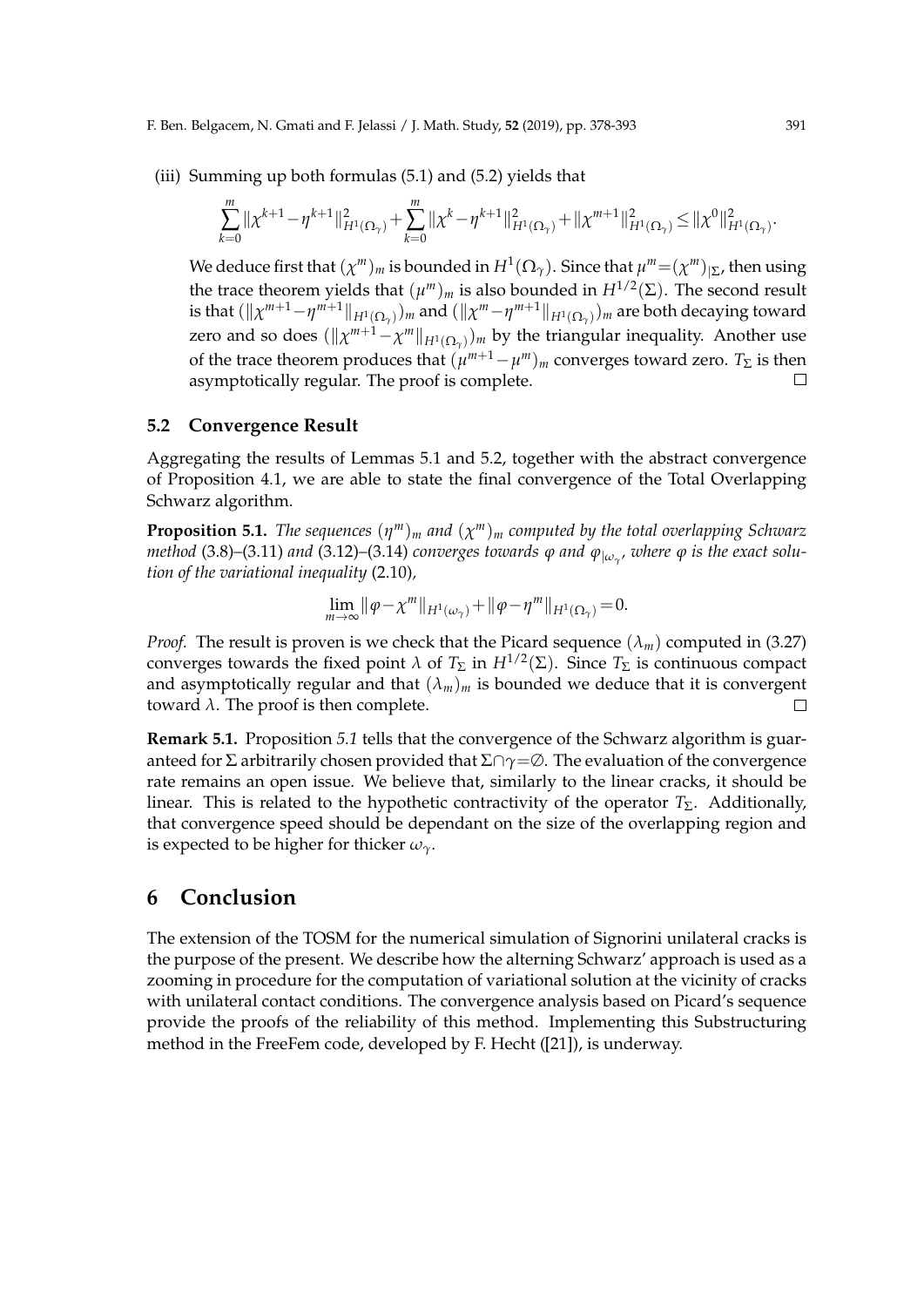(iii) Summing up both formulas (5.1) and (5.2) yields that

$$
\sum_{k=0}^m\|\chi^{k+1}-\eta^{k+1}\|_{H^1(\Omega_\gamma)}^2+\sum_{k=0}^m\|\chi^k-\eta^{k+1}\|_{H^1(\Omega_\gamma)}^2+\|\chi^{m+1}\|_{H^1(\Omega_\gamma)}^2\leq \|\chi^0\|_{H^1(\Omega_\gamma)}^2.
$$

We deduce first that  $(\chi^m)_m$  is bounded in  $H^1(\Omega_\gamma)$ . Since that  $\mu^m = (\chi^m)_{|\Sigma}$ , then using the trace theorem yields that  $(\mu^m)_m$  is also bounded in  $H^{1/2}(\Sigma)$ . The second result is that  $(\|\chi^{m+1}-\eta^{m+1}\|_{H^1(\Omega_\gamma)})_m$  and  $(\|\chi^m-\eta^{m+1}\|_{H^1(\Omega_\gamma)})_m$  are both decaying toward zero and so does  $(\|\chi^{m+1} - \chi^m\|_{H^1(\Omega_\gamma)})_m$  by the triangular inequality. Another use of the trace theorem produces that  $(\mu^{m+1} - \mu^m)_m$  converges toward zero.  $T_{\Sigma}$  is then asymptotically regular. The proof is complete.  $\Box$ 

#### **5.2 Convergence Result**

Aggregating the results of Lemmas 5.1 and 5.2, together with the abstract convergence of Proposition 4.1, we are able to state the final convergence of the Total Overlapping Schwarz algorithm.

**Proposition 5.1.** *The sequences* (*η <sup>m</sup>*)*<sup>m</sup> and* (*χ <sup>m</sup>*)*<sup>m</sup> computed by the total overlapping Schwarz method* (3.8)*–*(3.11) *and* (3.12)*–*(3.14) *converges towards φ and φ|ω<sup>γ</sup> , where φ is the exact solution of the variational inequality* (2.10)*,*

$$
\lim_{m\to\infty} \|\varphi-\chi^m\|_{H^1(\omega_\gamma)} + \|\varphi-\eta^m\|_{H^1(\Omega_\gamma)} = 0.
$$

*Proof.* The result is proven is we check that the Picard sequence  $(\lambda_m)$  computed in (3.27) converges towards the fixed point  $\lambda$  of  $T_{\Sigma}$  in  $H^{1/2}(\Sigma)$ . Since  $T_{\Sigma}$  is continuous compact and asymptotically regular and that  $(\lambda_m)_m$  is bounded we deduce that it is convergent toward  $\lambda$ . The proof is then complete.  $\Box$ 

**Remark 5.1.** Proposition *5.1* tells that the convergence of the Schwarz algorithm is guaranteed for Σ arbitrarily chosen provided that Σ*∩γ*=∅. The evaluation of the convergence rate remains an open issue. We believe that, similarly to the linear cracks, it should be linear. This is related to the hypothetic contractivity of the operator *T*<sub>Σ</sub>. Additionally, that convergence speed should be dependant on the size of the overlapping region and is expected to be higher for thicker  $\omega_{\gamma}$ .

### **6 Conclusion**

The extension of the TOSM for the numerical simulation of Signorini unilateral cracks is the purpose of the present. We describe how the alterning Schwarz' approach is used as a zooming in procedure for the computation of variational solution at the vicinity of cracks with unilateral contact conditions. The convergence analysis based on Picard's sequence provide the proofs of the reliability of this method. Implementing this Substructuring method in the FreeFem code, developed by F. Hecht ([21]), is underway.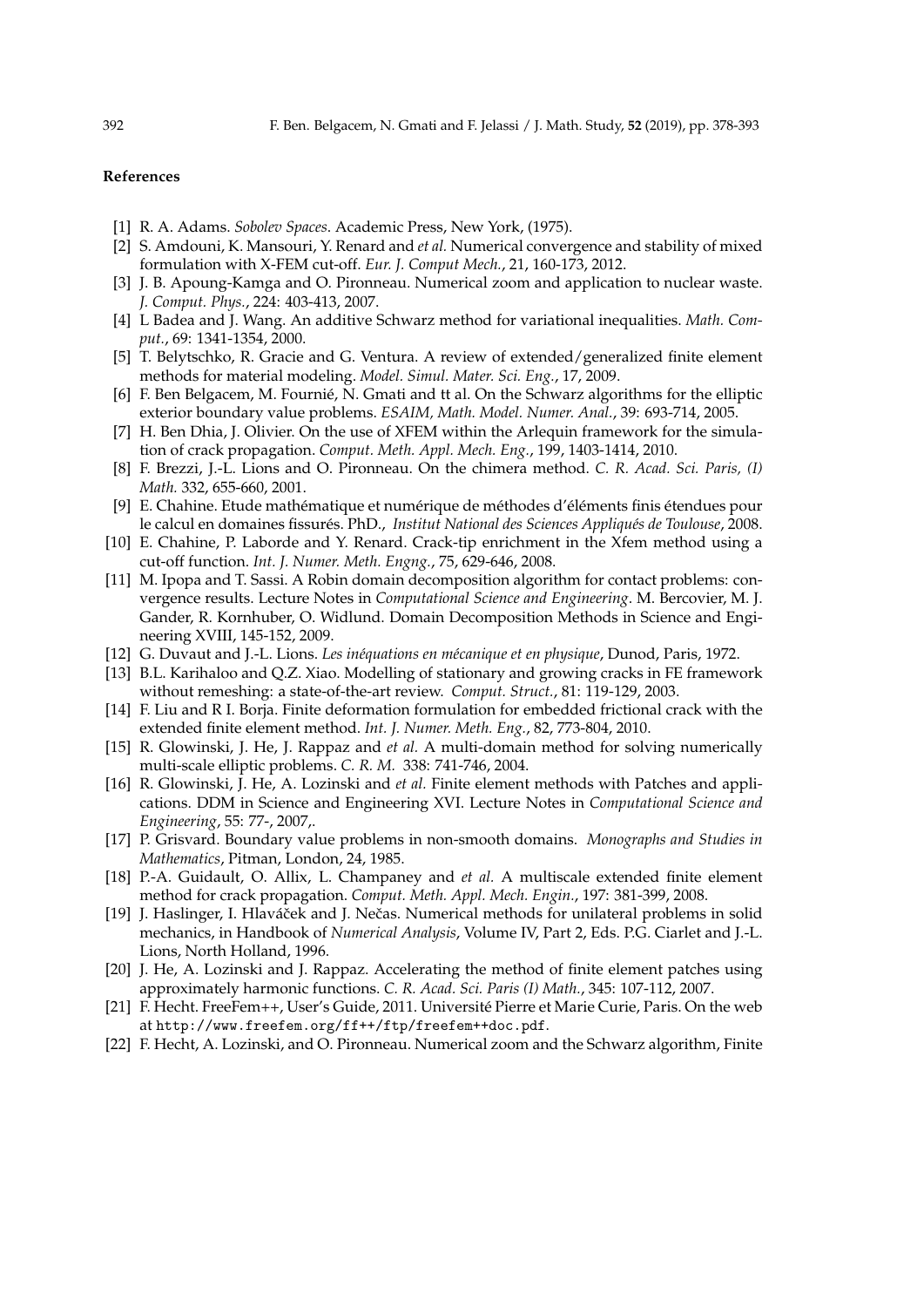#### **References**

- [1] R. A. Adams. *Sobolev Spaces*. Academic Press, New York, (1975).
- [2] S. Amdouni, K. Mansouri, Y. Renard and *et al.* Numerical convergence and stability of mixed formulation with X-FEM cut-off. *Eur. J. Comput Mech.*, 21, 160-173, 2012.
- [3] J. B. Apoung-Kamga and O. Pironneau. Numerical zoom and application to nuclear waste. *J. Comput. Phys.*, 224: 403-413, 2007.
- [4] L Badea and J. Wang. An additive Schwarz method for variational inequalities. *Math. Comput.*, 69: 1341-1354, 2000.
- [5] T. Belytschko, R. Gracie and G. Ventura. A review of extended/generalized finite element methods for material modeling. *Model. Simul. Mater. Sci. Eng.*, 17, 2009.
- [6] F. Ben Belgacem, M. Fournié, N. Gmati and tt al. On the Schwarz algorithms for the elliptic exterior boundary value problems. *ESAIM, Math. Model. Numer. Anal.*, 39: 693-714, 2005.
- [7] H. Ben Dhia, J. Olivier. On the use of XFEM within the Arlequin framework for the simulation of crack propagation. *Comput. Meth. Appl. Mech. Eng.*, 199, 1403-1414, 2010.
- [8] F. Brezzi, J.-L. Lions and O. Pironneau. On the chimera method. *C. R. Acad. Sci. Paris, (I) Math.* 332, 655-660, 2001.
- [9] E. Chahine. Etude mathématique et numérique de méthodes d'éléments finis étendues pour le calcul en domaines fissurés. PhD., *Institut National des Sciences Appliqués de Toulouse*, 2008.
- [10] E. Chahine, P. Laborde and Y. Renard. Crack-tip enrichment in the Xfem method using a cut-off function. *Int. J. Numer. Meth. Engng.*, 75, 629-646, 2008.
- [11] M. Ipopa and T. Sassi. A Robin domain decomposition algorithm for contact problems: convergence results. Lecture Notes in *Computational Science and Engineering*. M. Bercovier, M. J. Gander, R. Kornhuber, O. Widlund. Domain Decomposition Methods in Science and Engineering XVIII, 145-152, 2009.
- [12] G. Duvaut and J.-L. Lions. *Les in´equations en m´ecanique et en physique*, Dunod, Paris, 1972.
- [13] B.L. Karihaloo and Q.Z. Xiao. Modelling of stationary and growing cracks in FE framework without remeshing: a state-of-the-art review. *Comput. Struct.*, 81: 119-129, 2003.
- [14] F. Liu and R I. Borja. Finite deformation formulation for embedded frictional crack with the extended finite element method. *Int. J. Numer. Meth. Eng.*, 82, 773-804, 2010.
- [15] R. Glowinski, J. He, J. Rappaz and *et al.* A multi-domain method for solving numerically multi-scale elliptic problems. *C. R. M.* 338: 741-746, 2004.
- [16] R. Glowinski, J. He, A. Lozinski and *et al.* Finite element methods with Patches and applications. DDM in Science and Engineering XVI. Lecture Notes in *Computational Science and Engineering*, 55: 77-, 2007,.
- [17] P. Grisvard. Boundary value problems in non-smooth domains. *Monographs and Studies in Mathematics*, Pitman, London, 24, 1985.
- [18] P.-A. Guidault, O. Allix, L. Champaney and *et al.* A multiscale extended finite element method for crack propagation. *Comput. Meth. Appl. Mech. Engin.*, 197: 381-399, 2008.
- [19] J. Haslinger, I. Hlaváček and J. Nečas. Numerical methods for unilateral problems in solid mechanics, in Handbook of *Numerical Analysis*, Volume IV, Part 2, Eds. P.G. Ciarlet and J.-L. Lions, North Holland, 1996.
- [20] J. He, A. Lozinski and J. Rappaz. Accelerating the method of finite element patches using approximately harmonic functions. *C. R. Acad. Sci. Paris (I) Math.*, 345: 107-112, 2007.
- [21] F. Hecht. FreeFem++, User's Guide, 2011. Universite Pierre et Marie Curie, Paris. On the web ´ at http://www.freefem.org/ff++/ftp/freefem++doc.pdf.
- [22] F. Hecht, A. Lozinski, and O. Pironneau. Numerical zoom and the Schwarz algorithm, Finite